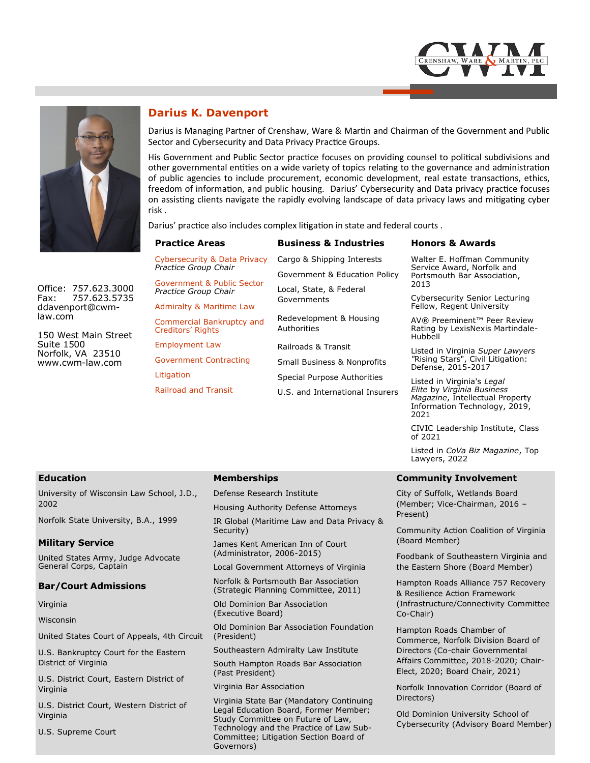



**Darius K. Davenport**

Darius is Managing Partner of Crenshaw, Ware & Martin and Chairman of the Government and Public Sector and Cybersecurity and Data Privacy Practice Groups.

His Government and Public Sector practice focuses on providing counsel to political subdivisions and other governmental entities on a wide variety of topics relating to the governance and administration of public agencies to include procurement, economic development, real estate transactions, ethics, freedom of information, and public housing. Darius' Cybersecurity and Data privacy practice focuses on assisting clients navigate the rapidly evolving landscape of data privacy laws and mitigating cyber risk .

Darius' practice also includes complex litigation in state and federal courts .

| <b>Practice Areas</b>                                | <b>Business &amp; Industries</b>       | <b>Honors &amp; Awards</b>                                                                                                                                      |
|------------------------------------------------------|----------------------------------------|-----------------------------------------------------------------------------------------------------------------------------------------------------------------|
| Cybersecurity & Data Privacy<br>Practice Group Chair | Cargo & Shipping Interests             | Walter E. Hoffman Community<br>Service Award, Norfolk and<br>Portsmouth Bar Association,<br>2013<br>Cybersecurity Senior Lecturing<br>Fellow, Regent University |
| Government & Public Sector                           | Government & Education Policy          |                                                                                                                                                                 |
| Practice Group Chair                                 | Local, State, & Federal<br>Governments |                                                                                                                                                                 |
| <b>Admiralty &amp; Maritime Law</b>                  |                                        |                                                                                                                                                                 |
| Commercial Bankruptcy and<br>Creditors' Rights       | Redevelopment & Housing<br>Authorities | AV® Preeminent™ Peer Review<br>Rating by LexisNexis Martindale-<br>Hubbell                                                                                      |
| <b>Employment Law</b>                                | Railroads & Transit                    | Listed in Virginia Super Lawyers<br>"Rising Stars", Civil Litigation:<br>Defense, 2015-2017                                                                     |
| Government Contracting                               | <b>Small Business &amp; Nonprofits</b> |                                                                                                                                                                 |
| Litigation                                           | Special Purpose Authorities            | Listed in Virginia's Legal<br>Elite by Virginia Business<br>Magazine, Intellectual Property<br>Information Technology, 2019,                                    |
| <b>Railroad and Transit</b>                          | U.S. and International Insurers        |                                                                                                                                                                 |

Office: 757.623.3000 Fax: 757.623.5735 ddavenport@cwmlaw.com

150 West Main Street Suite 1500 Norfolk, VA 23510 www.cwm-law.com

### **Education**

University of Wisconsin Law School, J.D., 2002

Norfolk State University, B.A., 1999

### **Military Service**

United States Army, Judge Advocate General Corps, Captain

### **Bar/Court Admissions**

Virginia

Wisconsin

United States Court of Appeals, 4th Circuit

U.S. Bankruptcy Court for the Eastern District of Virginia

U.S. District Court, Eastern District of Virginia

U.S. District Court, Western District of Virginia

U.S. Supreme Court

### **Memberships**

Defense Research Institute

Housing Authority Defense Attorneys

IR Global (Maritime Law and Data Privacy & Security)

James Kent American Inn of Court (Administrator, 2006-2015)

Local Government Attorneys of Virginia

Norfolk & Portsmouth Bar Association (Strategic Planning Committee, 2011)

Old Dominion Bar Association (Executive Board)

Old Dominion Bar Association Foundation (President)

Southeastern Admiralty Law Institute

South Hampton Roads Bar Association (Past President)

Virginia Bar Association

Virginia State Bar (Mandatory Continuing Legal Education Board, Former Member; Study Committee on Future of Law, Technology and the Practice of Law Sub-Committee; Litigation Section Board of Governors)

### **Community Involvement**

2021

of 2021

Lawyers, 2022

City of Suffolk, Wetlands Board (Member; Vice-Chairman, 2016 – Present)

Community Action Coalition of Virginia (Board Member)

CIVIC Leadership Institute, Class

Listed in *CoVa Biz Magazine*, Top

Foodbank of Southeastern Virginia and the Eastern Shore (Board Member)

Hampton Roads Alliance 757 Recovery & Resilience Action Framework (Infrastructure/Connectivity Committee Co-Chair)

Hampton Roads Chamber of Commerce, Norfolk Division Board of Directors (Co-chair Governmental Affairs Committee, 2018-2020; Chair-Elect, 2020; Board Chair, 2021)

Norfolk Innovation Corridor (Board of Directors)

Old Dominion University School of<br>Cybersecurity (Advisory Board Member) Old Dominion University School of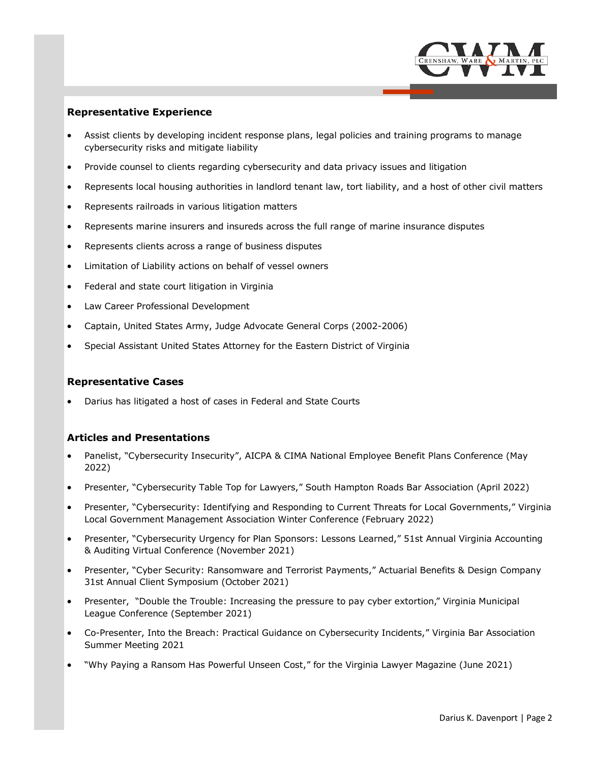

# **Representative Experience**

- Assist clients by developing incident response plans, legal policies and training programs to manage cybersecurity risks and mitigate liability
- Provide counsel to clients regarding cybersecurity and data privacy issues and litigation
- Represents local housing authorities in landlord tenant law, tort liability, and a host of other civil matters
- Represents railroads in various litigation matters
- Represents marine insurers and insureds across the full range of marine insurance disputes
- Represents clients across a range of business disputes
- Limitation of Liability actions on behalf of vessel owners
- Federal and state court litigation in Virginia
- Law Career Professional Development
- Captain, United States Army, Judge Advocate General Corps (2002-2006)
- Special Assistant United States Attorney for the Eastern District of Virginia

### **Representative Cases**

Darius has litigated a host of cases in Federal and State Courts

### **Articles and Presentations**

- Panelist, "Cybersecurity Insecurity", AICPA & CIMA National Employee Benefit Plans Conference (May 2022)
- Presenter, "Cybersecurity Table Top for Lawyers," South Hampton Roads Bar Association (April 2022)
- Presenter, "Cybersecurity: Identifying and Responding to Current Threats for Local Governments," Virginia Local Government Management Association Winter Conference (February 2022)
- Presenter, "Cybersecurity Urgency for Plan Sponsors: Lessons Learned," 51st Annual Virginia Accounting & Auditing Virtual Conference (November 2021)
- Presenter, "Cyber Security: Ransomware and Terrorist Payments," Actuarial Benefits & Design Company 31st Annual Client Symposium (October 2021)
- Presenter, "Double the Trouble: Increasing the pressure to pay cyber extortion," Virginia Municipal League Conference (September 2021)
- Co-Presenter, Into the Breach: Practical Guidance on Cybersecurity Incidents," Virginia Bar Association Summer Meeting 2021
- "Why Paying a Ransom Has Powerful Unseen Cost," for the Virginia Lawyer Magazine (June 2021)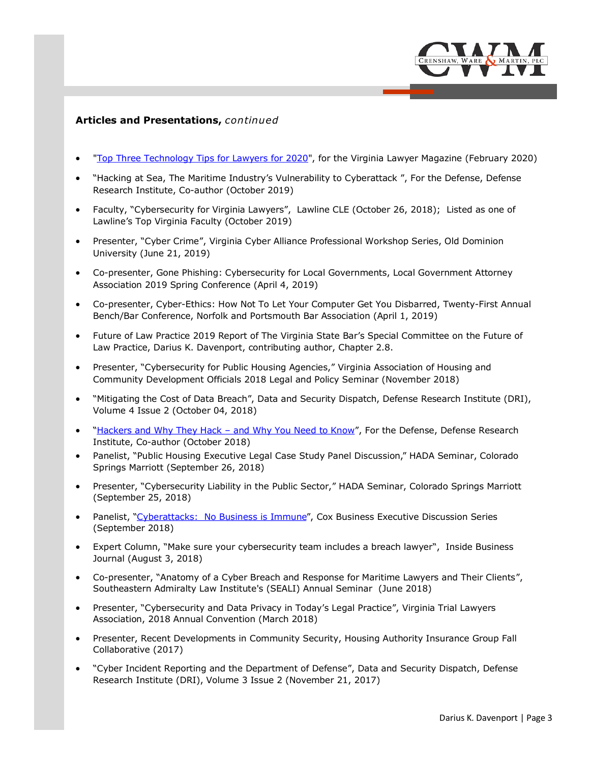

# **Articles and Presentations,** *continued*

- "[Top Three Technology Tips for Lawyers for 2020",](http://virginialawyer.vsb.org/publication/?m=53176&i=650523&p=46&ver=html5) for the Virginia Lawyer Magazine (February 2020)
- "Hacking at Sea, The Maritime Industry's Vulnerability to Cyberattack ", For the Defense, Defense Research Institute, Co-author (October 2019)
- Faculty, "Cybersecurity for Virginia Lawyers", Lawline CLE (October 26, 2018); Listed as one of Lawline's Top Virginia Faculty (October 2019)
- Presenter, "Cyber Crime", Virginia Cyber Alliance Professional Workshop Series, Old Dominion University (June 21, 2019)
- Co-presenter, Gone Phishing: Cybersecurity for Local Governments, Local Government Attorney Association 2019 Spring Conference (April 4, 2019)
- Co-presenter, Cyber-Ethics: How Not To Let Your Computer Get You Disbarred, Twenty-First Annual Bench/Bar Conference, Norfolk and Portsmouth Bar Association (April 1, 2019)
- Future of Law Practice 2019 Report of The Virginia State Bar's Special Committee on the Future of Law Practice, Darius K. Davenport, contributing author, Chapter 2.8.
- Presenter, "Cybersecurity for Public Housing Agencies," Virginia Association of Housing and Community Development Officials 2018 Legal and Policy Seminar (November 2018)
- "Mitigating the Cost of Data Breach", Data and Security Dispatch, Defense Research Institute (DRI), Volume 4 Issue 2 (October 04, 2018)
- "[Hackers and Why They Hack –](https://www.cwm-law.com/wp-content/uploads/2018/10/DRI-October-2018.pdf) and Why You Need to Know", For the Defense, Defense Research Institute, Co-author (October 2018)
- Panelist, "Public Housing Executive Legal Case Study Panel Discussion," HADA Seminar, Colorado Springs Marriott (September 26, 2018)
- Presenter, "Cybersecurity Liability in the Public Sector," HADA Seminar, Colorado Springs Marriott (September 25, 2018)
- Panelist, ["Cyberattacks: No Business is Immune"](https://pilotonline.com/inside-business/news/technology/article_4b9ba3ba-b6a6-11e8-9d3d-3799ebb62d89.html), Cox Business Executive Discussion Series (September 2018)
- Expert Column, "Make sure your cybersecurity team includes a breach lawyer", Inside Business Journal (August 3, 2018)
- Co-presenter, "Anatomy of a Cyber Breach and Response for Maritime Lawyers and Their Clients", Southeastern Admiralty Law Institute's (SEALI) Annual Seminar (June 2018)
- Presenter, "Cybersecurity and Data Privacy in Today's Legal Practice", Virginia Trial Lawyers Association, 2018 Annual Convention (March 2018)
- Presenter, Recent Developments in Community Security, Housing Authority Insurance Group Fall Collaborative (2017)
- "Cyber Incident Reporting and the Department of Defense", Data and Security Dispatch, Defense Research Institute (DRI), Volume 3 Issue 2 (November 21, 2017)